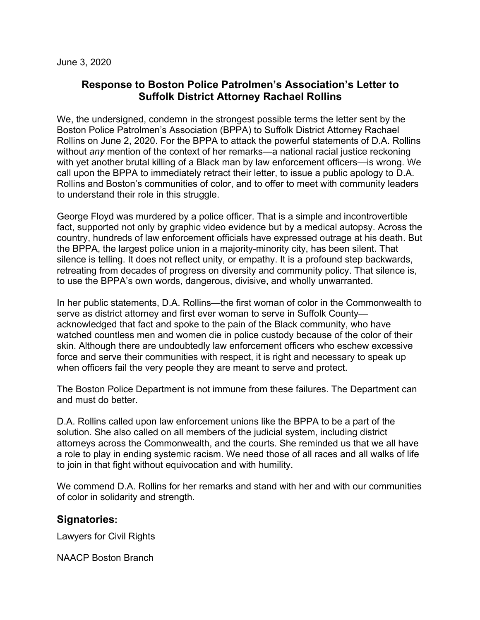## **Response to Boston Police Patrolmen's Association's Letter to Suffolk District Attorney Rachael Rollins**

We, the undersigned, condemn in the strongest possible terms the letter sent by the Boston Police Patrolmen's Association (BPPA) to Suffolk District Attorney Rachael Rollins on June 2, 2020. For the BPPA to attack the powerful statements of D.A. Rollins without *any* mention of the context of her remarks—a national racial justice reckoning with yet another brutal killing of a Black man by law enforcement officers—is wrong. We call upon the BPPA to immediately retract their letter, to issue a public apology to D.A. Rollins and Boston's communities of color, and to offer to meet with community leaders to understand their role in this struggle.

George Floyd was murdered by a police officer. That is a simple and incontrovertible fact, supported not only by graphic video evidence but by a medical autopsy. Across the country, hundreds of law enforcement officials have expressed outrage at his death. But the BPPA, the largest police union in a majority-minority city, has been silent. That silence is telling. It does not reflect unity, or empathy. It is a profound step backwards, retreating from decades of progress on diversity and community policy. That silence is, to use the BPPA's own words, dangerous, divisive, and wholly unwarranted.

In her public statements, D.A. Rollins—the first woman of color in the Commonwealth to serve as district attorney and first ever woman to serve in Suffolk County acknowledged that fact and spoke to the pain of the Black community, who have watched countless men and women die in police custody because of the color of their skin. Although there are undoubtedly law enforcement officers who eschew excessive force and serve their communities with respect, it is right and necessary to speak up when officers fail the very people they are meant to serve and protect.

The Boston Police Department is not immune from these failures. The Department can and must do better.

D.A. Rollins called upon law enforcement unions like the BPPA to be a part of the solution. She also called on all members of the judicial system, including district attorneys across the Commonwealth, and the courts. She reminded us that we all have a role to play in ending systemic racism. We need those of all races and all walks of life to join in that fight without equivocation and with humility.

We commend D.A. Rollins for her remarks and stand with her and with our communities of color in solidarity and strength.

## **Signatories:**

Lawyers for Civil Rights

NAACP Boston Branch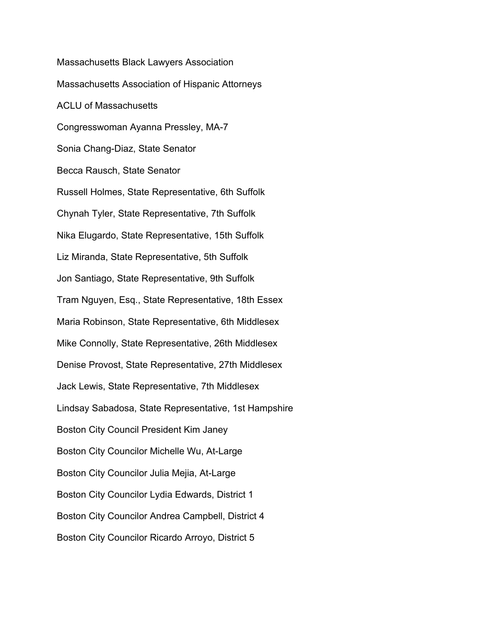Massachusetts Black Lawyers Association Massachusetts Association of Hispanic Attorneys ACLU of Massachusetts Congresswoman Ayanna Pressley, MA-7 Sonia Chang-Diaz, State Senator Becca Rausch, State Senator Russell Holmes, State Representative, 6th Suffolk Chynah Tyler, State Representative, 7th Suffolk Nika Elugardo, State Representative, 15th Suffolk Liz Miranda, State Representative, 5th Suffolk Jon Santiago, State Representative, 9th Suffolk Tram Nguyen, Esq., State Representative, 18th Essex Maria Robinson, State Representative, 6th Middlesex Mike Connolly, State Representative, 26th Middlesex Denise Provost, State Representative, 27th Middlesex Jack Lewis, State Representative, 7th Middlesex Lindsay Sabadosa, State Representative, 1st Hampshire Boston City Council President Kim Janey Boston City Councilor Michelle Wu, At-Large Boston City Councilor Julia Mejia, At-Large Boston City Councilor Lydia Edwards, District 1 Boston City Councilor Andrea Campbell, District 4 Boston City Councilor Ricardo Arroyo, District 5